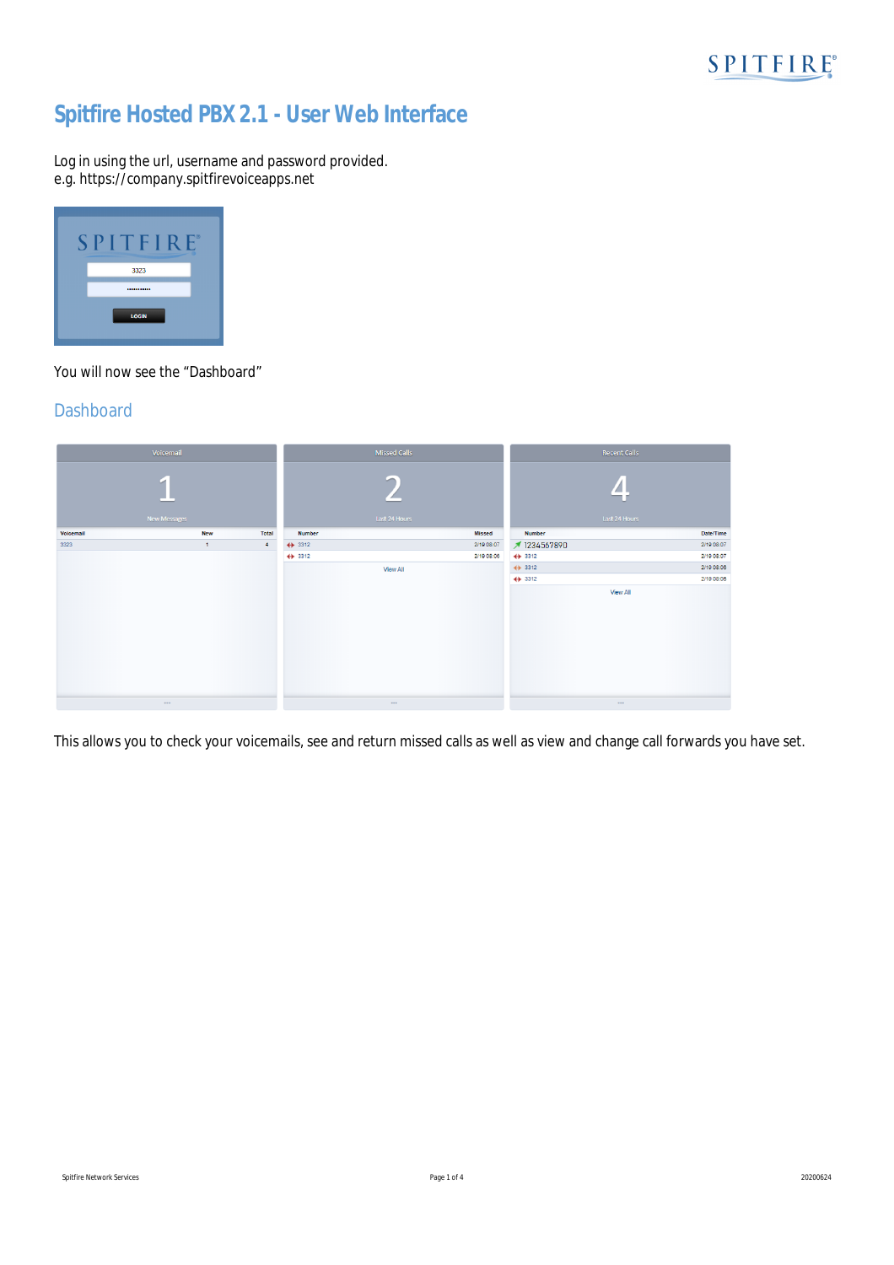# **Spitfire Hosted PBX 2.1 - User Web Interface**

Log in using the url, username and password provided. e.g. https://*company*.spitfirevoiceapps.net



You will now see the "Dashboard"

## **Dashboard**



This allows you to check your voicemails, see and return missed calls as well as view and change call forwards you have set.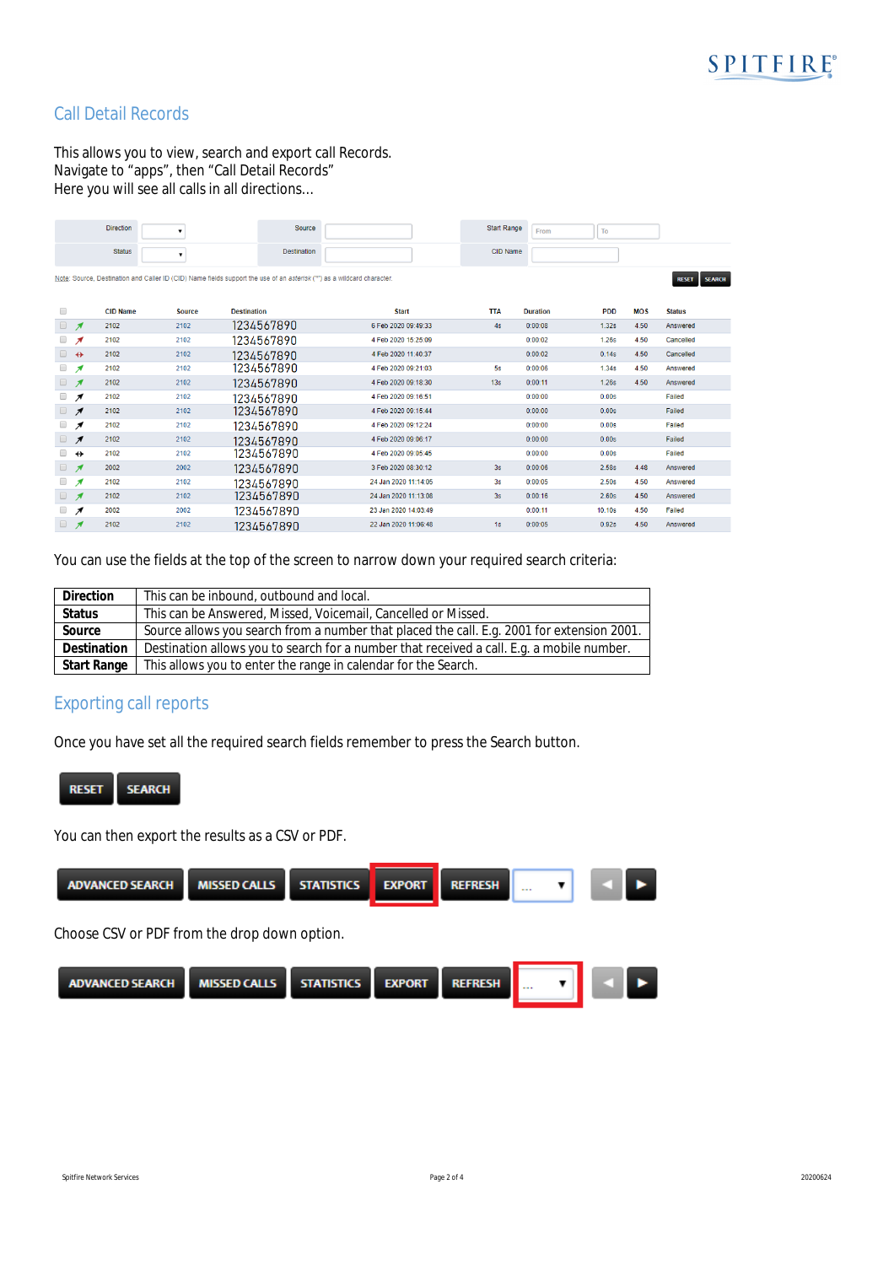

# Call Detail Records

This allows you to view, search and export call Records. Navigate to "apps", then "Call Detail Records" Here you will see all calls in all directions…

|                      |                          | <b>Direction</b> |               | Source                                                                                                                  |                      | <b>Start Range</b> | From            | To                       |                               |
|----------------------|--------------------------|------------------|---------------|-------------------------------------------------------------------------------------------------------------------------|----------------------|--------------------|-----------------|--------------------------|-------------------------------|
|                      |                          | <b>Status</b>    | $\mathbf{r}$  | <b>Destination</b>                                                                                                      |                      | <b>CID Name</b>    |                 |                          |                               |
|                      |                          |                  |               | Note: Source, Destination and Caller ID (CID) Name fields support the use of an asterisk ("*") as a wildcard character. |                      |                    |                 |                          | <b>SEARCH</b><br><b>RESET</b> |
| 8                    |                          | <b>CID Name</b>  | <b>Source</b> | <b>Destination</b>                                                                                                      | <b>Start</b>         | <b>TTA</b>         | <b>Duration</b> | <b>PDD</b><br><b>MOS</b> | <b>Status</b>                 |
| $\qquad \qquad \Box$ | я                        | 2102             | 2102          | 1234567890                                                                                                              | 6 Feb 2020 09:49:33  | 4s                 | 0:00:08         | 1.32s<br>4.50            | Answered                      |
| $\Box$               | я                        | 2102             | 2102          | 1234567890                                                                                                              | 4 Feb 2020 15:25:09  |                    | 0:00:02         | 4.50<br><b>1.26s</b>     | Cancelled                     |
| $\Box$               | $\leftrightarrow$        | 2102             | 2102          | 1234567890                                                                                                              | 4 Feb 2020 11:40:37  |                    | 0:00:02         | 0.14s<br>4.50            | Cancelled                     |
| □                    | я                        | 2102             | 2102          | 1234567890                                                                                                              | 4 Feb 2020 09:21:03  | 5s                 | 0:00:06         | 1.34s<br>4.50            | Answered                      |
| $\Box$               | $\boldsymbol{\pi}$       | 2102             | 2102          | 1234567890                                                                                                              | 4 Feb 2020 09:18:30  | 13s                | 0:00:11         | 1.26s<br>4.50            | Answered                      |
| 0                    | ↗                        | 2102             | 2102          | 1234567890                                                                                                              | 4 Feb 2020 09:16:51  |                    | 0:00:00         | 0.00s                    | Failed                        |
| 0                    | ↗                        | 2102             | 2102          | 1234567890                                                                                                              | 4 Feb 2020 09:15:44  |                    | 0:00:00         | 0.00s                    | Failed                        |
| $\Box$               | ↗                        | 2102             | 2102          | 1234567890                                                                                                              | 4 Feb 2020 09:12:24  |                    | 0:00:00         | 0.00s                    | Failed                        |
| $\Box$               | $\overline{\phantom{a}}$ | 2102             | 2102          | 1234567890                                                                                                              | 4 Feb 2020 09:06:17  |                    | 0:00:00         | 0.00s                    | Failed                        |
| □                    | $\leftrightarrow$        | 2102             | 2102          | 1234567890                                                                                                              | 4 Feb 2020 09:05:45  |                    | 0:00:00         | 0.00s                    | Failed                        |
| $\Box$               | $\boldsymbol{\pi}$       | 2002             | 2002          | 1234567890                                                                                                              | 3 Feb 2020 08:30:12  | 3s                 | 0:00:06         | 2.58s<br>4.48            | Answered                      |
| 0                    | я                        | 2102             | 2102          | 1234567890                                                                                                              | 24 Jan 2020 11:14:05 | 3s                 | 0:00:05         | 2.50s<br>4.50            | Answered                      |
| $\Box$               | $\boldsymbol{\pi}$       | 2102             | 2102          | 1234567890                                                                                                              | 24 Jan 2020 11:13:08 | 3s                 | 0:00:16         | 4.50<br>2.60s            | Answered                      |
| $\Box$               | ↗                        | 2002             | 2002          | 1234567890                                                                                                              | 23 Jan 2020 14:03:49 |                    | 0:00:11         | 4.50<br>10.10s           | Failed                        |
| $\Box$               | $\overline{\mathcal{A}}$ | 2102             | 2102          | 1234567890                                                                                                              | 22 Jan 2020 11:06:48 | 1s                 | 0:00:05         | 0.92s<br>4.50            | Answered                      |
|                      |                          |                  |               |                                                                                                                         |                      |                    |                 |                          |                               |

You can use the fields at the top of the screen to narrow down your required search criteria:

| <b>Direction</b> | This can be inbound, outbound and local.                                                   |  |  |  |  |  |  |
|------------------|--------------------------------------------------------------------------------------------|--|--|--|--|--|--|
| <b>Status</b>    | This can be Answered, Missed, Voicemail, Cancelled or Missed.                              |  |  |  |  |  |  |
| Source           | Source allows you search from a number that placed the call. E.g. 2001 for extension 2001. |  |  |  |  |  |  |
| Destination      | Destination allows you to search for a number that received a call. E.g. a mobile number.  |  |  |  |  |  |  |
| Start Range      | This allows you to enter the range in calendar for the Search.                             |  |  |  |  |  |  |

# Exporting call reports

Once you have set all the required search fields remember to press the Search button.



You can then export the results as a CSV or PDF.

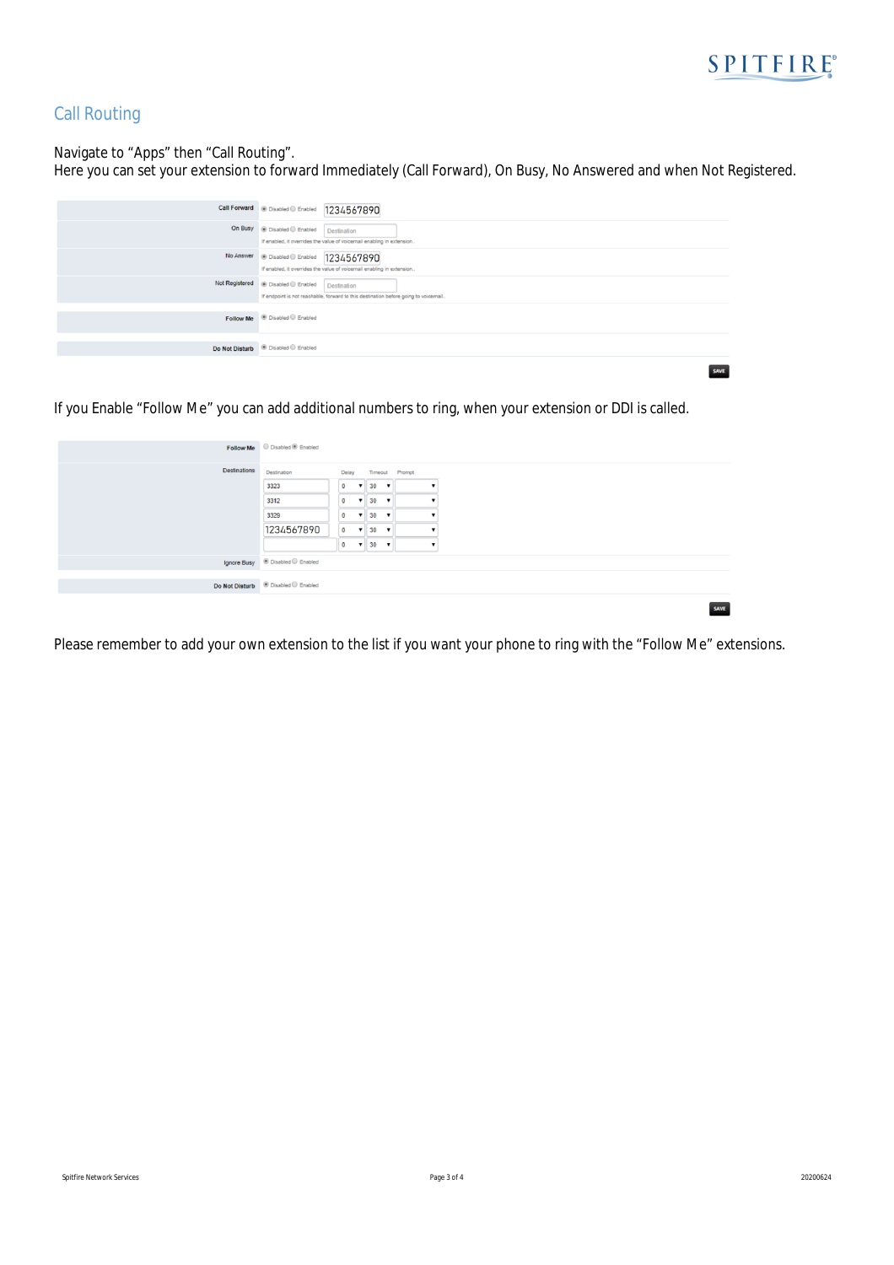

## Call Routing

Navigate to "Apps" then "Call Routing".

Here you can set your extension to forward Immediately (Call Forward), On Busy, No Answered and when Not Registered.

| Call Forward @ Disabled @ Enabled 1234567890                                                                                              |
|-------------------------------------------------------------------------------------------------------------------------------------------|
| On Busy @ Disabled @ Enabled<br>Destination<br>If enabled, it overrides the value of voicemail enabling in extension                      |
| No Answer @ Disabled © Enabled   1234567890<br>If enabled, it overrides the value of voicemail enabling in extension                      |
| Not Registered @ Disabled C Enabled<br>Destination<br>If endpoint is not reachable, forward to this destination before going to voicemail |
| Follow Me <sup>ii</sup> Disabled C Enabled                                                                                                |
| Do Not Disturb <sup>@</sup> Disabled <sup>@</sup> Enabled                                                                                 |
| <b>CAMP</b>                                                                                                                               |

If you Enable "Follow Me" you can add additional numbers to ring, when your extension or DDI is called.

|                     | Follow Me Disabled ® Enabled                           |             |              |                 |                          |                |  |
|---------------------|--------------------------------------------------------|-------------|--------------|-----------------|--------------------------|----------------|--|
| <b>Destinations</b> | Destination                                            | Delay       |              |                 |                          | Timeout Prompt |  |
|                     | 3323                                                   | $\circ$     | $\mathbf{v}$ | 30              |                          |                |  |
|                     | 3312                                                   | $\mathbf 0$ | $\mathbf{v}$ | 30              | $\overline{\phantom{a}}$ |                |  |
|                     | 3329                                                   | $\circ$     | $\mathbf{v}$ | 30              | $\blacktriangledown$     |                |  |
|                     | 1234567890                                             | $\bullet$   | $\mathbf{v}$ | 30              | $\mathbf{v}$             |                |  |
|                     |                                                        | $\bullet$   |              | $\mathbf{v}$ 30 | $\mathbf{v}$             |                |  |
|                     | Ignore Busy <sup>@</sup> Disabled <sup>@</sup> Enabled |             |              |                 |                          |                |  |
|                     |                                                        |             |              |                 |                          |                |  |
|                     | Do Not Disturb © Disabled © Enabled                    |             |              |                 |                          |                |  |

Please remember to add your own extension to the list if you want your phone to ring with the "Follow Me" extensions.